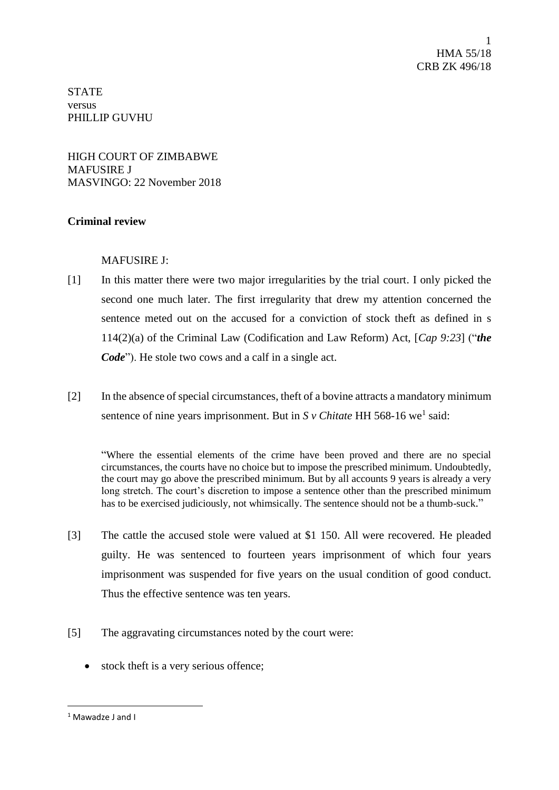**STATE** versus PHILLIP GUVHU

HIGH COURT OF ZIMBABWE MAFUSIRE J MASVINGO: 22 November 2018

## **Criminal review**

## MAFUSIRE J:

- [1] In this matter there were two major irregularities by the trial court. I only picked the second one much later. The first irregularity that drew my attention concerned the sentence meted out on the accused for a conviction of stock theft as defined in s 114(2)(a) of the Criminal Law (Codification and Law Reform) Act, [*Cap 9:23*] ("*the Code*"). He stole two cows and a calf in a single act.
- [2] In the absence of special circumstances, theft of a bovine attracts a mandatory minimum sentence of nine years imprisonment. But in  $S$  v Chitate HH 568-16 we<sup>1</sup> said:

"Where the essential elements of the crime have been proved and there are no special circumstances, the courts have no choice but to impose the prescribed minimum. Undoubtedly, the court may go above the prescribed minimum. But by all accounts 9 years is already a very long stretch. The court's discretion to impose a sentence other than the prescribed minimum has to be exercised judiciously, not whimsically. The sentence should not be a thumb-suck."

- [3] The cattle the accused stole were valued at \$1 150. All were recovered. He pleaded guilty. He was sentenced to fourteen years imprisonment of which four years imprisonment was suspended for five years on the usual condition of good conduct. Thus the effective sentence was ten years.
- [5] The aggravating circumstances noted by the court were:
	- stock theft is a very serious offence;

**.** 

<sup>1</sup> Mawadze J and I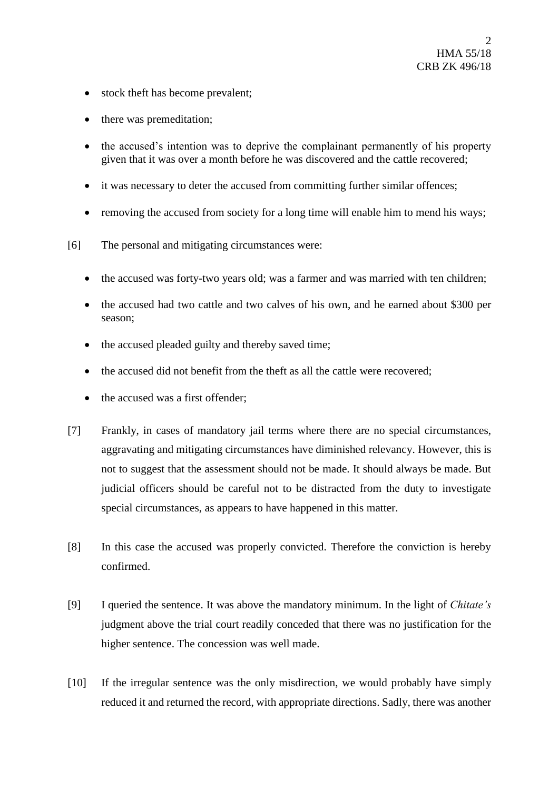- stock theft has become prevalent;
- there was premeditation;
- the accused's intention was to deprive the complainant permanently of his property given that it was over a month before he was discovered and the cattle recovered;
- it was necessary to deter the accused from committing further similar offences;
- removing the accused from society for a long time will enable him to mend his ways;
- [6] The personal and mitigating circumstances were:
	- the accused was forty-two years old; was a farmer and was married with ten children;
	- the accused had two cattle and two calves of his own, and he earned about \$300 per season;
	- the accused pleaded guilty and thereby saved time;
	- the accused did not benefit from the theft as all the cattle were recovered;
	- the accused was a first offender:
- [7] Frankly, in cases of mandatory jail terms where there are no special circumstances, aggravating and mitigating circumstances have diminished relevancy. However, this is not to suggest that the assessment should not be made. It should always be made. But judicial officers should be careful not to be distracted from the duty to investigate special circumstances, as appears to have happened in this matter.
- [8] In this case the accused was properly convicted. Therefore the conviction is hereby confirmed.
- [9] I queried the sentence. It was above the mandatory minimum. In the light of *Chitate's* judgment above the trial court readily conceded that there was no justification for the higher sentence. The concession was well made.
- [10] If the irregular sentence was the only misdirection, we would probably have simply reduced it and returned the record, with appropriate directions. Sadly, there was another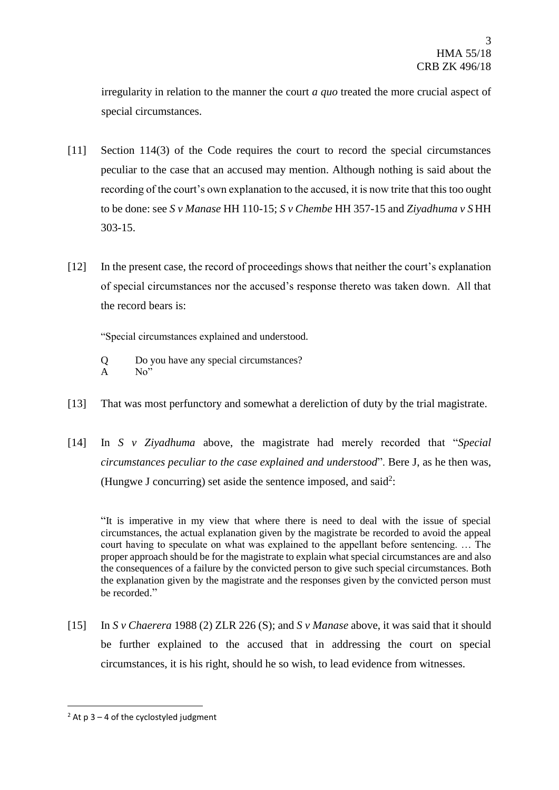irregularity in relation to the manner the court *a quo* treated the more crucial aspect of special circumstances.

- [11] Section 114(3) of the Code requires the court to record the special circumstances peculiar to the case that an accused may mention. Although nothing is said about the recording of the court's own explanation to the accused, it is now trite that this too ought to be done: see *S v Manase* HH 110-15; *S v Chembe* HH 357-15 and *Ziyadhuma v S* HH 303-15.
- [12] In the present case, the record of proceedings shows that neither the court's explanation of special circumstances nor the accused's response thereto was taken down. All that the record bears is:

"Special circumstances explained and understood.

- Q Do you have any special circumstances? A No"
- [13] That was most perfunctory and somewhat a dereliction of duty by the trial magistrate.
- [14] In *S v Ziyadhuma* above, the magistrate had merely recorded that "*Special circumstances peculiar to the case explained and understood*". Bere J, as he then was, (Hungwe J concurring) set aside the sentence imposed, and said<sup>2</sup>:

"It is imperative in my view that where there is need to deal with the issue of special circumstances, the actual explanation given by the magistrate be recorded to avoid the appeal court having to speculate on what was explained to the appellant before sentencing. … The proper approach should be for the magistrate to explain what special circumstances are and also the consequences of a failure by the convicted person to give such special circumstances. Both the explanation given by the magistrate and the responses given by the convicted person must be recorded."

[15] In *S v Chaerera* 1988 (2) ZLR 226 (S); and *S v Manase* above, it was said that it should be further explained to the accused that in addressing the court on special circumstances, it is his right, should he so wish, to lead evidence from witnesses.

**.** 

 $2$  At p 3 – 4 of the cyclostyled judgment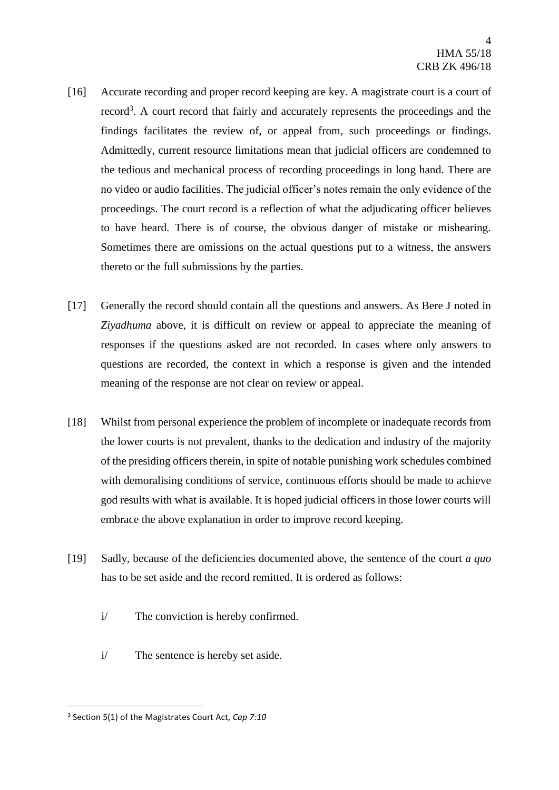- [16] Accurate recording and proper record keeping are key. A magistrate court is a court of record<sup>3</sup>. A court record that fairly and accurately represents the proceedings and the findings facilitates the review of, or appeal from, such proceedings or findings. Admittedly, current resource limitations mean that judicial officers are condemned to the tedious and mechanical process of recording proceedings in long hand. There are no video or audio facilities. The judicial officer's notes remain the only evidence of the proceedings. The court record is a reflection of what the adjudicating officer believes to have heard. There is of course, the obvious danger of mistake or mishearing. Sometimes there are omissions on the actual questions put to a witness, the answers thereto or the full submissions by the parties.
- [17] Generally the record should contain all the questions and answers. As Bere J noted in *Ziyadhuma* above, it is difficult on review or appeal to appreciate the meaning of responses if the questions asked are not recorded. In cases where only answers to questions are recorded, the context in which a response is given and the intended meaning of the response are not clear on review or appeal.
- [18] Whilst from personal experience the problem of incomplete or inadequate records from the lower courts is not prevalent, thanks to the dedication and industry of the majority of the presiding officers therein, in spite of notable punishing work schedules combined with demoralising conditions of service, continuous efforts should be made to achieve god results with what is available. It is hoped judicial officers in those lower courts will embrace the above explanation in order to improve record keeping.
- [19] Sadly, because of the deficiencies documented above, the sentence of the court *a quo* has to be set aside and the record remitted. It is ordered as follows:
	- i/ The conviction is hereby confirmed.
	- i/ The sentence is hereby set aside.

**.** 

<sup>3</sup> Section 5(1) of the Magistrates Court Act, *Cap 7:10*